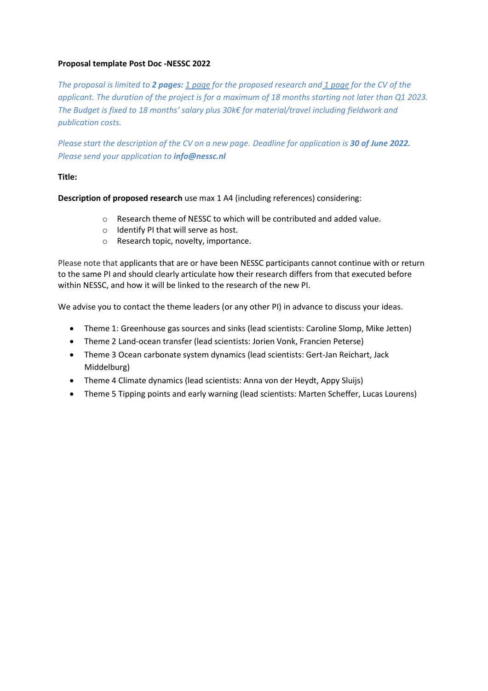## **Proposal template Post Doc -NESSC 2022**

*The proposal is limited to 2 pages: 1 page for the proposed research and 1 page for the CV of the applicant. The duration of the project is for a maximum of 18 months starting not later than Q1 2023. The Budget is fixed to 18 months' salary plus 30k€ for material/travel including fieldwork and publication costs.*

*Please start the description of the CV on a new page. Deadline for application is 30 of June 2022. Please send your application to info@nessc.nl*

## **Title:**

**Description of proposed research** use max 1 A4 (including references) considering:

- o Research theme of NESSC to which will be contributed and added value.
- o Identify PI that will serve as host.
- o Research topic, novelty, importance.

Please note that applicants that are or have been NESSC participants cannot continue with or return to the same PI and should clearly articulate how their research differs from that executed before within NESSC, and how it will be linked to the research of the new PI.

We advise you to contact the theme leaders (or any other PI) in advance to discuss your ideas.

- Theme 1: Greenhouse gas sources and sinks (lead scientists: Caroline Slomp, Mike Jetten)
- Theme 2 Land-ocean transfer (lead scientists: Jorien Vonk, Francien Peterse)
- Theme 3 Ocean carbonate system dynamics (lead scientists: Gert-Jan Reichart, Jack Middelburg)
- Theme 4 Climate dynamics (lead scientists: Anna von der Heydt, Appy Sluijs)
- Theme 5 Tipping points and early warning (lead scientists: Marten Scheffer, Lucas Lourens)